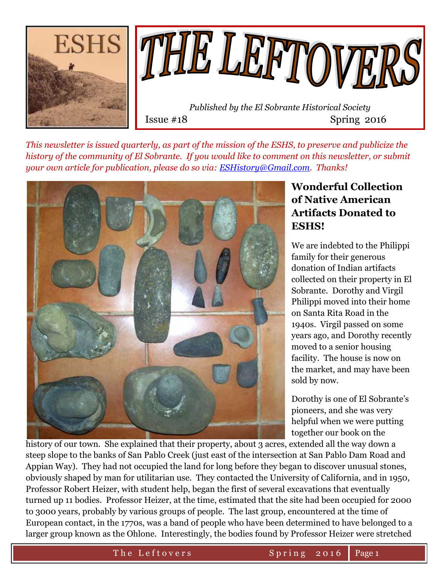



 *Published by the El Sobrante Historical Society*  Issue #18 Spring 2016

*This newsletter is issued quarterly, as part of the mission of the ESHS, to preserve and publicize the history of the community of El Sobrante. If you would like to comment on this newsletter, or submit your own article for publication, please do so via: [ESHistory@Gmail.com.](mailto:ESHistory@Gmail.com) Thanks!*



# **Wonderful Collection of Native American Artifacts Donated to ESHS!**

We are indebted to the Philippi family for their generous donation of Indian artifacts collected on their property in El Sobrante. Dorothy and Virgil Philippi moved into their home on Santa Rita Road in the 1940s. Virgil passed on some years ago, and Dorothy recently moved to a senior housing facility. The house is now on the market, and may have been sold by now.

Dorothy is one of El Sobrante's pioneers, and she was very helpful when we were putting together our book on the

history of our town. She explained that their property, about 3 acres, extended all the way down a steep slope to the banks of San Pablo Creek (just east of the intersection at San Pablo Dam Road and Appian Way). They had not occupied the land for long before they began to discover unusual stones, obviously shaped by man for utilitarian use. They contacted the University of California, and in 1950, Professor Robert Heizer, with student help, began the first of several excavations that eventually turned up 11 bodies. Professor Heizer, at the time, estimated that the site had been occupied for 2000 to 3000 years, probably by various groups of people. The last group, encountered at the time of European contact, in the 1770s, was a band of people who have been determined to have belonged to a larger group known as the Ohlone. Interestingly, the bodies found by Professor Heizer were stretched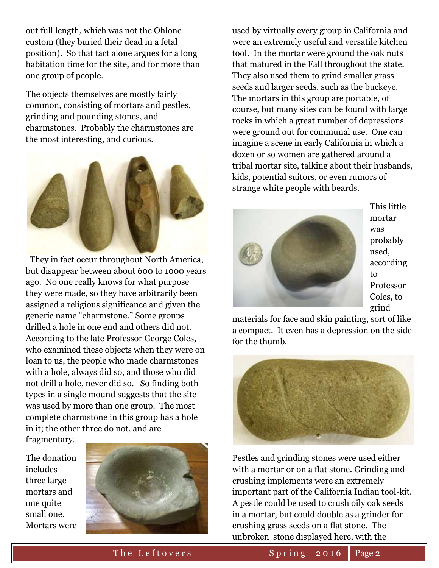out full length, which was not the Ohlone custom (they buried their dead in a fetal position). So that fact alone argues for a long habitation time for the site, and for more than one group of people.

The objects themselves are mostly fairly common, consisting of mortars and pestles, grinding and pounding stones, and charmstones. Probably the charmstones are the most interesting, and curious.



 They in fact occur throughout North America, but disappear between about 600 to 1000 years ago. No one really knows for what purpose they were made, so they have arbitrarily been assigned a religious significance and given the generic name "charmstone." Some groups drilled a hole in one end and others did not. According to the late Professor George Coles, who examined these objects when they were on loan to us, the people who made charmstones with a hole, always did so, and those who did not drill a hole, never did so. So finding both types in a single mound suggests that the site was used by more than one group. The most complete charmstone in this group has a hole in it; the other three do not, and are

fragmentary.

The donation includes three large mortars and one quite small one. Mortars were



used by virtually every group in California and were an extremely useful and versatile kitchen tool. In the mortar were ground the oak nuts that matured in the Fall throughout the state. They also used them to grind smaller grass seeds and larger seeds, such as the buckeye. The mortars in this group are portable, of course, but many sites can be found with large rocks in which a great number of depressions were ground out for communal use. One can imagine a scene in early California in which a dozen or so women are gathered around a tribal mortar site, talking about their husbands, kids, potential suitors, or even rumors of strange white people with beards.



This little mortar was probably used, according to Professor Coles, to grind

materials for face and skin painting, sort of like a compact. It even has a depression on the side for the thumb.



Pestles and grinding stones were used either with a mortar or on a flat stone. Grinding and crushing implements were an extremely important part of the California Indian tool-kit. A pestle could be used to crush oily oak seeds in a mortar, but could double as a grinder for crushing grass seeds on a flat stone. The unbroken stone displayed here, with the

The Leftovers Spring 2016 Page 2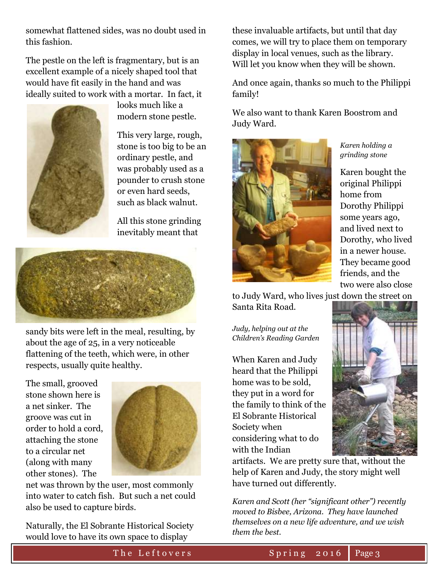somewhat flattened sides, was no doubt used in this fashion.

The pestle on the left is fragmentary, but is an excellent example of a nicely shaped tool that would have fit easily in the hand and was ideally suited to work with a mortar. In fact, it



looks much like a modern stone pestle.

This very large, rough, stone is too big to be an ordinary pestle, and was probably used as a pounder to crush stone or even hard seeds, such as black walnut.

All this stone grinding inevitably meant that



sandy bits were left in the meal, resulting, by about the age of 25, in a very noticeable flattening of the teeth, which were, in other respects, usually quite healthy.

The small, grooved stone shown here is a net sinker. The groove was cut in order to hold a cord, attaching the stone to a circular net (along with many other stones). The



net was thrown by the user, most commonly into water to catch fish. But such a net could also be used to capture birds.

Naturally, the El Sobrante Historical Society would love to have its own space to display

these invaluable artifacts, but until that day comes, we will try to place them on temporary display in local venues, such as the library. Will let you know when they will be shown.

And once again, thanks so much to the Philippi family!

We also want to thank Karen Boostrom and Judy Ward.



*Karen holding a grinding stone*

Karen bought the original Philippi home from Dorothy Philippi some years ago, and lived next to Dorothy, who lived in a newer house. They became good friends, and the two were also close

to Judy Ward, who lives just down the street on Santa Rita Road.

*Judy, helping out at the Children's Reading Garden*

When Karen and Judy heard that the Philippi home was to be sold, they put in a word for the family to think of the El Sobrante Historical Society when considering what to do with the Indian



artifacts. We are pretty sure that, without the help of Karen and Judy, the story might well have turned out differently.

*Karen and Scott (her "significant other") recently moved to Bisbee, Arizona. They have launched themselves on a new life adventure, and we wish them the best.*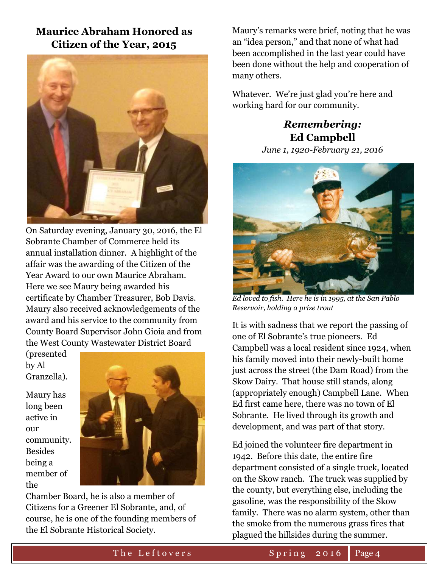# **Maurice Abraham Honored as Citizen of the Year, 2015**



On Saturday evening, January 30, 2016, the El Sobrante Chamber of Commerce held its annual installation dinner. A highlight of the affair was the awarding of the Citizen of the Year Award to our own Maurice Abraham. Here we see Maury being awarded his certificate by Chamber Treasurer, Bob Davis. Maury also received acknowledgements of the award and his service to the community from County Board Supervisor John Gioia and from the West County Wastewater District Board

(presented by Al Granzella).

Maury has long been active in our community. Besides being a member of the



Chamber Board, he is also a member of Citizens for a Greener El Sobrante, and, of course, he is one of the founding members of the El Sobrante Historical Society.

Maury's remarks were brief, noting that he was an "idea person," and that none of what had been accomplished in the last year could have been done without the help and cooperation of many others.

Whatever. We're just glad you're here and working hard for our community.

# *Remembering:* **Ed Campbell**

*June 1, 1920-February 21, 2016*



*Ed loved to fish. Here he is in 1995, at the San Pablo Reservoir, holding a prize trout*

It is with sadness that we report the passing of one of El Sobrante's true pioneers. Ed Campbell was a local resident since 1924, when his family moved into their newly-built home just across the street (the Dam Road) from the Skow Dairy. That house still stands, along (appropriately enough) Campbell Lane. When Ed first came here, there was no town of El Sobrante. He lived through its growth and development, and was part of that story.

Ed joined the volunteer fire department in 1942. Before this date, the entire fire department consisted of a single truck, located on the Skow ranch. The truck was supplied by the county, but everything else, including the gasoline, was the responsibility of the Skow family. There was no alarm system, other than the smoke from the numerous grass fires that plagued the hillsides during the summer.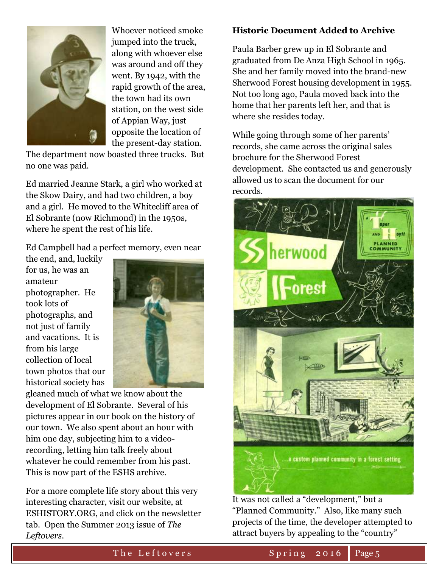

Whoever noticed smoke jumped into the truck, along with whoever else was around and off they went. By 1942, with the rapid growth of the area, the town had its own station, on the west side of Appian Way, just opposite the location of the present-day station.

The department now boasted three trucks. But no one was paid.

Ed married Jeanne Stark, a girl who worked at the Skow Dairy, and had two children, a boy and a girl. He moved to the Whitecliff area of El Sobrante (now Richmond) in the 1950s, where he spent the rest of his life.

Ed Campbell had a perfect memory, even near

the end, and, luckily for us, he was an amateur photographer. He took lots of photographs, and not just of family and vacations. It is from his large collection of local town photos that our historical society has



gleaned much of what we know about the development of El Sobrante. Several of his pictures appear in our book on the history of our town. We also spent about an hour with him one day, subjecting him to a videorecording, letting him talk freely about whatever he could remember from his past. This is now part of the ESHS archive.

For a more complete life story about this very interesting character, visit our website, at ESHISTORY.ORG, and click on the newsletter tab. Open the Summer 2013 issue of *The Leftovers.*

### **Historic Document Added to Archive**

Paula Barber grew up in El Sobrante and graduated from De Anza High School in 1965. She and her family moved into the brand-new Sherwood Forest housing development in 1955. Not too long ago, Paula moved back into the home that her parents left her, and that is where she resides today.

While going through some of her parents' records, she came across the original sales brochure for the Sherwood Forest development. She contacted us and generously allowed us to scan the document for our records.



It was not called a "development," but a "Planned Community." Also, like many such projects of the time, the developer attempted to attract buyers by appealing to the "country"